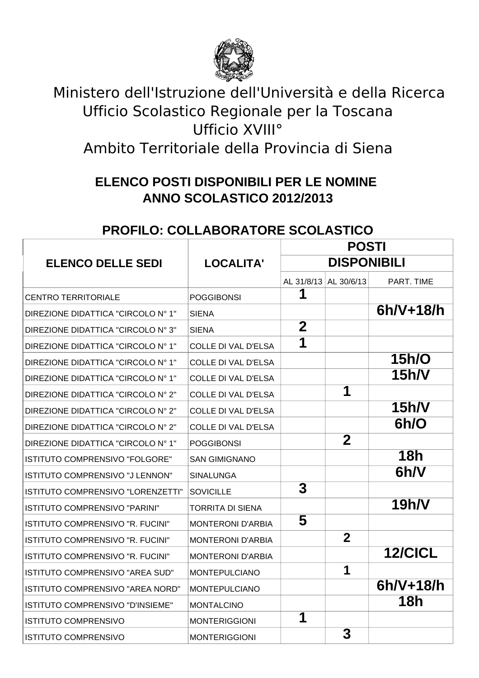

## Ministero dell'Istruzione dell'Università e della Ricerca Ufficio Scolastico Regionale per la Toscana Ufficio XVIII° Ambito Territoriale della Provincia di Siena

## **ELENCO POSTI DISPONIBILI PER LE NOMINE ANNO SCOLASTICO 2012/2013**

## **PROFILO: COLLABORATORE SCOLASTICO**

|                                          | <b>LOCALITA'</b>           | <b>POSTI</b>       |                |                |
|------------------------------------------|----------------------------|--------------------|----------------|----------------|
| <b>ELENCO DELLE SEDI</b>                 |                            | <b>DISPONIBILI</b> |                |                |
|                                          |                            | AL 31/8/13         | AL 30/6/13     | PART. TIME     |
| <b>CENTRO TERRITORIALE</b>               | <b>POGGIBONSI</b>          | 1                  |                |                |
| DIREZIONE DIDATTICA "CIRCOLO N° 1"       | <b>SIENA</b>               |                    |                | $6h/V+18/h$    |
| DIREZIONE DIDATTICA "CIRCOLO N° 3"       | <b>SIENA</b>               | $\overline{2}$     |                |                |
| DIREZIONE DIDATTICA "CIRCOLO N° 1"       | <b>COLLE DI VAL D'ELSA</b> | 1                  |                |                |
| DIREZIONE DIDATTICA "CIRCOLO N° 1"       | <b>COLLE DI VAL D'ELSA</b> |                    |                | 15h/O          |
| DIREZIONE DIDATTICA "CIRCOLO N° 1"       | <b>COLLE DI VAL D'ELSA</b> |                    |                | 15h/V          |
| DIREZIONE DIDATTICA "CIRCOLO N° 2"       | <b>COLLE DI VAL D'ELSA</b> |                    | 1              |                |
| DIREZIONE DIDATTICA "CIRCOLO N° 2"       | <b>COLLE DI VAL D'ELSA</b> |                    |                | 15h/V          |
| DIREZIONE DIDATTICA "CIRCOLO N° 2"       | <b>COLLE DI VAL D'ELSA</b> |                    |                | 6h/O           |
| DIREZIONE DIDATTICA "CIRCOLO Nº 1"       | <b>POGGIBONSI</b>          |                    | $\overline{2}$ |                |
| ISTITUTO COMPRENSIVO "FOLGORE"           | SAN GIMIGNANO              |                    |                | <b>18h</b>     |
| ISTITUTO COMPRENSIVO "J LENNON"          | <b>SINALUNGA</b>           |                    |                | 6h/V           |
| <b>ISTITUTO COMPRENSIVO "LORENZETTI"</b> | <b>SOVICILLE</b>           | 3                  |                |                |
| <b>ISTITUTO COMPRENSIVO "PARINI"</b>     | <b>TORRITA DI SIENA</b>    |                    |                | <b>19h/V</b>   |
| <b>ISTITUTO COMPRENSIVO "R. FUCINI"</b>  | <b>MONTERONI D'ARBIA</b>   | 5                  |                |                |
| ISTITUTO COMPRENSIVO "R. FUCINI"         | <b>MONTERONI D'ARBIA</b>   |                    | $\overline{2}$ |                |
| ISTITUTO COMPRENSIVO "R. FUCINI"         | <b>MONTERONI D'ARBIA</b>   |                    |                | <b>12/CICL</b> |
| ISTITUTO COMPRENSIVO "AREA SUD"          | <b>MONTEPULCIANO</b>       |                    | 1              |                |
| ISTITUTO COMPRENSIVO "AREA NORD"         | <b>MONTEPULCIANO</b>       |                    |                | $6h/V+18/h$    |
| <b>ISTITUTO COMPRENSIVO "D'INSIEME"</b>  | <b>MONTALCINO</b>          |                    |                | 18h            |
| <b>ISTITUTO COMPRENSIVO</b>              | <b>MONTERIGGIONI</b>       | 1                  |                |                |
| <b>ISTITUTO COMPRENSIVO</b>              | <b>MONTERIGGIONI</b>       |                    | 3              |                |